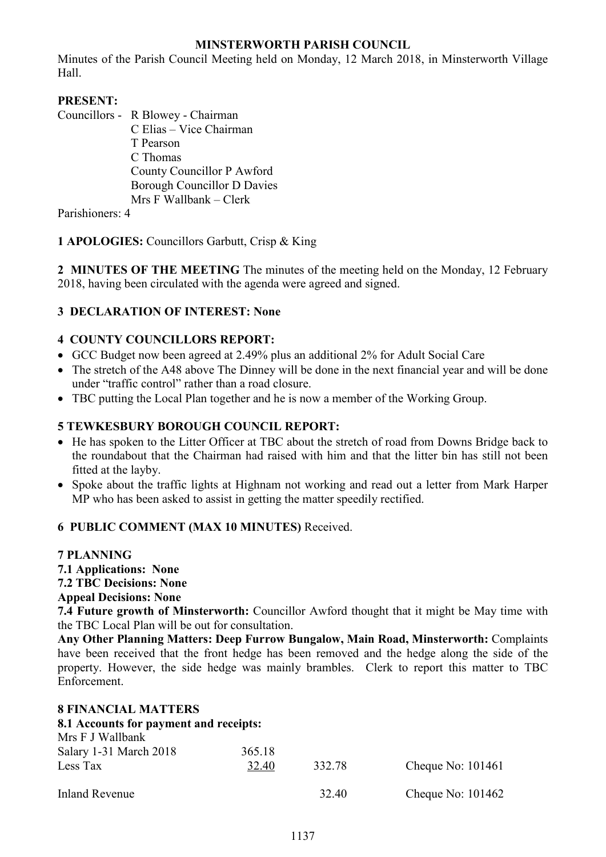# **MINSTERWORTH PARISH COUNCIL**

Minutes of the Parish Council Meeting held on Monday, 12 March 2018, in Minsterworth Village Hall.

## **PRESENT:**

Councillors - R Blowey - Chairman C Elias – Vice Chairman T Pearson C Thomas County Councillor P Awford Borough Councillor D Davies Mrs F Wallbank – Clerk

Parishioners: 4

**1 APOLOGIES:** Councillors Garbutt, Crisp & King

**2 MINUTES OF THE MEETING** The minutes of the meeting held on the Monday, 12 February 2018, having been circulated with the agenda were agreed and signed.

# **3 DECLARATION OF INTEREST: None**

### **4 COUNTY COUNCILLORS REPORT:**

- GCC Budget now been agreed at 2.49% plus an additional 2% for Adult Social Care
- The stretch of the A48 above The Dinney will be done in the next financial year and will be done under "traffic control" rather than a road closure.
- TBC putting the Local Plan together and he is now a member of the Working Group.

# **5 TEWKESBURY BOROUGH COUNCIL REPORT:**

- He has spoken to the Litter Officer at TBC about the stretch of road from Downs Bridge back to the roundabout that the Chairman had raised with him and that the litter bin has still not been fitted at the layby.
- Spoke about the traffic lights at Highnam not working and read out a letter from Mark Harper MP who has been asked to assist in getting the matter speedily rectified.

### **6 PUBLIC COMMENT (MAX 10 MINUTES)** Received.

### **7 PLANNING**

- **7.1 Applications: None**
- **7.2 TBC Decisions: None**

### **Appeal Decisions: None**

**7.4 Future growth of Minsterworth:** Councillor Awford thought that it might be May time with the TBC Local Plan will be out for consultation.

**Any Other Planning Matters: Deep Furrow Bungalow, Main Road, Minsterworth:** Complaints have been received that the front hedge has been removed and the hedge along the side of the property. However, the side hedge was mainly brambles. Clerk to report this matter to TBC Enforcement.

#### **8 FINANCIAL MATTERS 8.1 Accounts for payment and receipts:**

| <b>6.1 Accounts for payment and receipts.</b> |        |        |                     |  |
|-----------------------------------------------|--------|--------|---------------------|--|
| Mrs F J Wallbank                              |        |        |                     |  |
| Salary 1-31 March 2018                        | 365.18 |        |                     |  |
| Less Tax                                      | 32.40  | 332.78 | Cheque No: $101461$ |  |
| Inland Revenue                                |        | 32.40  | Cheque No: $101462$ |  |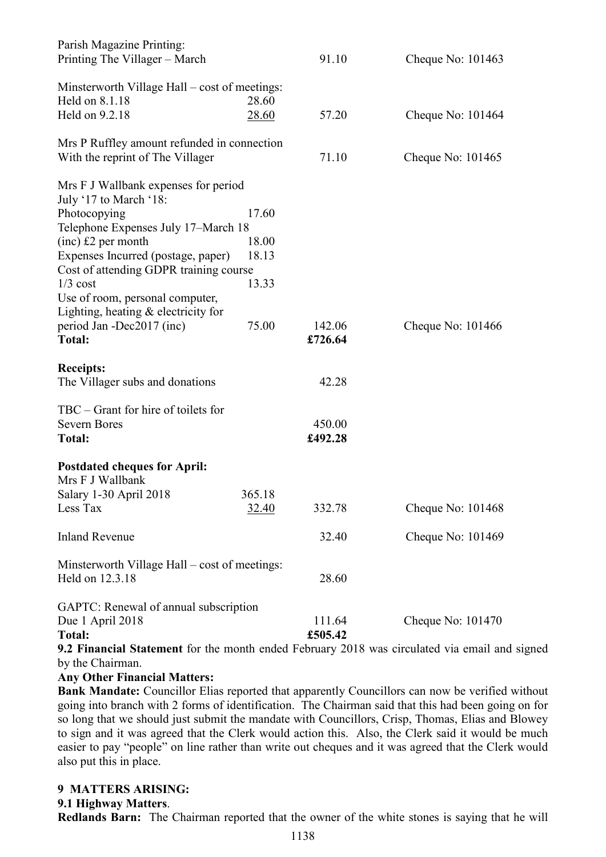| Parish Magazine Printing:                                                                  |              |         |                   |
|--------------------------------------------------------------------------------------------|--------------|---------|-------------------|
| Printing The Villager – March                                                              |              | 91.10   | Cheque No: 101463 |
| Minsterworth Village Hall – cost of meetings:                                              |              |         |                   |
| Held on 8.1.18                                                                             | 28.60        |         |                   |
| Held on 9.2.18                                                                             | 28.60        | 57.20   | Cheque No: 101464 |
| Mrs P Ruffley amount refunded in connection                                                |              |         |                   |
| With the reprint of The Villager                                                           |              | 71.10   | Cheque No: 101465 |
| Mrs F J Wallbank expenses for period                                                       |              |         |                   |
| July '17 to March '18:                                                                     |              |         |                   |
| Photocopying                                                                               | 17.60        |         |                   |
| Telephone Expenses July 17-March 18                                                        |              |         |                   |
| $(inc)$ £2 per month                                                                       | 18.00        |         |                   |
| Expenses Incurred (postage, paper)                                                         | 18.13        |         |                   |
| Cost of attending GDPR training course                                                     |              |         |                   |
| $1/3$ cost                                                                                 | 13.33        |         |                   |
| Use of room, personal computer,                                                            |              |         |                   |
| Lighting, heating $&$ electricity for                                                      |              |         |                   |
| period Jan -Dec2017 (inc)                                                                  | 75.00        | 142.06  | Cheque No: 101466 |
| <b>Total:</b>                                                                              |              | £726.64 |                   |
| <b>Receipts:</b>                                                                           |              |         |                   |
| The Villager subs and donations                                                            |              | 42.28   |                   |
| $TBC - Grant$ for hire of toilets for                                                      |              |         |                   |
| <b>Severn Bores</b>                                                                        |              | 450.00  |                   |
| <b>Total:</b>                                                                              |              | £492.28 |                   |
| <b>Postdated cheques for April:</b><br>Mrs F J Wallbank                                    |              |         |                   |
| Salary 1-30 April 2018                                                                     | 365.18       |         |                   |
| Less Tax                                                                                   | <u>32.40</u> | 332.78  | Cheque No: 101468 |
| <b>Inland Revenue</b>                                                                      |              | 32.40   | Cheque No: 101469 |
| Minsterworth Village Hall – cost of meetings:                                              |              |         |                   |
| Held on 12.3.18                                                                            |              | 28.60   |                   |
| GAPTC: Renewal of annual subscription                                                      |              |         |                   |
| Due 1 April 2018                                                                           |              | 111.64  | Cheque No: 101470 |
| <b>Total:</b>                                                                              |              | £505.42 |                   |
| 9. 9. Financial Statement for the month ended February 2018 was circulated via email and a |              |         |                   |

**9.2 Financial Statement** for the month ended February 2018 was circulated via email and signed by the Chairman.

### **Any Other Financial Matters:**

**Bank Mandate:** Councillor Elias reported that apparently Councillors can now be verified without going into branch with 2 forms of identification. The Chairman said that this had been going on for so long that we should just submit the mandate with Councillors, Crisp, Thomas, Elias and Blowey to sign and it was agreed that the Clerk would action this. Also, the Clerk said it would be much easier to pay "people" on line rather than write out cheques and it was agreed that the Clerk would also put this in place.

### **9 MATTERS ARISING:**

#### **9.1 Highway Matters**.

**Redlands Barn:** The Chairman reported that the owner of the white stones is saying that he will